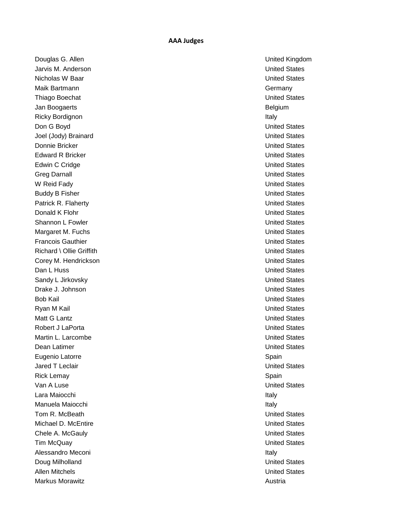**Douglas G. Allen** United Kingdom **Douglas G. Allen** Jarvis M. Anderson United States Nicholas W Baar United States Maik Bartmann Germany Communication and the communication of the communication of the communication of the communication of the communication of the communication of the communication of the communication of the communicat Thiago Boechat **United States** Jan Boogaerts Belgium Ricky Bordignon **Italy** and *Italy* and *Italy* and *Italy* and *Italy* and *Italy* and *Italy* and *Italy* and *Italy* and *Italy* and *Italy* and *Italy* and *Italy* and *Italy* and *Italy* and *Italy* and *Italy* and *I* Don G Boyd United States Joel (Jody) Brainard **Value Community Community** Community Community Community Community Community Community Community Donnie Bricker National Communication of the United States Communication of the United States Edward R Bricker New York 1999 and the United States United States Edwin C Cridge **United States** Controllering Controllering Controllering Controllering Controllering Controllering Controllering Controllering Controllering Controllering Controllering Controllering Controllering Controlle Greg Darnall **Greg Darnall Contract Contract Contract Contract Contract Contract Contract Contract Contract Contract Contract Contract Contract Contract Contract Contract Contract Contract Contract Contract Contract Cont** W Reid Fady **United States** Buddy B Fisher North Contract of the United States Patrick R. Flaherty **Network** Channels and the United States Donald K Flohr United States Shannon L Fowler Communication Communication Communication Communication Communication Communication Communication Communication Communication Communication Communication Communication Communication Communication Communica Margaret M. Fuchs **Victor** Community Community Community Community Community Community Community Community Community **Francois Gauthier Community Community Community Community Community Community Community Community Community Community Community Community Community Community Community Community Community Community Community Community Com** Richard \ Ollie Griffith United States Corey M. Hendrickson **New York Core Core Control** United States **Dan L Huss Community Community Community Community Community Community Community Community Community Community** Sandy L Jirkovsky **Example 2018** Sandy L Jirkovsky Drake J. Johnson United States Bob Kail United States Ryan M Kail United States Matt G Lantz **United States** United States Robert J LaPorta New York 1990 and the United States New York 1990 and the United States Martin L. Larcombe **United States Dean Latimer** United States **Contract Contract Contract Contract Contract Contract Contract Contract Contract Contract Contract Contract Contract Contract Contract Contract Contract Contract Contract Contract Contract Con** Eugenio Latorre **Eugenio Latorre Spain** Jared T Leclair United States Rick Lemay **Spain** Van A Luse Van A Luse Van A Luse Van A Luse Van A Luse Van A Luse Van A Luse Van A Luse Van A Luse Van A Luse Lara Maiocchi **Italy** 1999 - Ann an Italy 1999 - Ann an Italy 1999 - Ann an Italy 1999 - Italy 1999 - Italy 1999 - Italy Manuela Maiocchi ilay kaominina dia kaominina mpikambana amin'ny fivondronan-kaominin'i North Manuel (no ben'n Tom R. McBeath United States Michael D. McEntire **Network** Controller Controller Controller Controller Controller Controller Controller Controller Controller Controller Controller Controller Controller Controller Controller Controller Controller Contr Chele A. McGauly **Chele A. McGauly** Tim McQuay United States Alessandro Meconi **Italy** 2008 and 2008 and 2008 and 2008 and 2008 and 2008 and 2008 and 2008 and 2008 and 2008 and 2008 and 2008 and 2008 and 2008 and 2008 and 2008 and 2008 and 2008 and 2008 and 2008 and 2008 and 2008 an **Doug Milholland Community Community Community Community Community Community Community Community Community Community** Allen Mitchels United States Markus Morawitz Austria